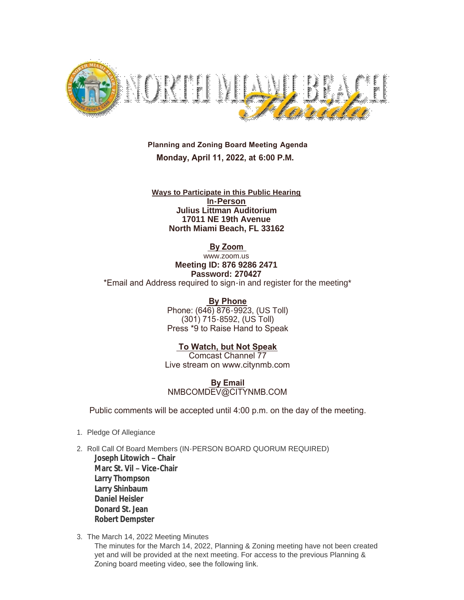

 **Planning and Zoning Board Meeting Agenda Monday, April 11, 2022, at 6:00 P.M.**

**Ways to Participate in this Public Hearing In-Person Julius Littman Auditorium 17011 NE 19th Avenue North Miami Beach, FL 33162**

 **By Zoom** 

www.zoom.us **Meeting ID: 876 9286 2471 Password: 270427** \*Email and Address required to sign-in and register for the meeting\*

> **By Phone** Phone: (646) 876-9923, (US Toll) (301) 715-8592, (US Toll) Press \*9 to Raise Hand to Speak

 **To Watch, but Not Speak** Comcast Channel 77 Live stream on www.citynmb.com

 **By Email** NMBCOMDEV@CITYNMB.COM

Public comments will be accepted until 4:00 p.m. on the day of the meeting.

- 1. Pledge Of Allegiance
- 2. Roll Call Of Board Members (IN-PERSON BOARD QUORUM REQUIRED) **Joseph Litowich – Chair Marc St. Vil – Vice-Chair Larry Thompson Larry Shinbaum Daniel Heisler Donard St. Jean Robert Dempster**
- 3. The March 14, 2022 Meeting Minutes

The minutes for the March 14, 2022, Planning & Zoning meeting have not been created yet and will be provided at the next meeting. For access to the previous Planning & Zoning board meeting video, see the following link.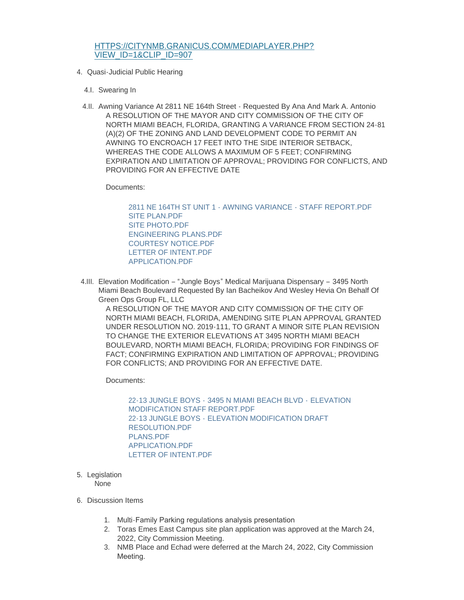## [HTTPS://CITYNMB.GRANICUS.COM/MEDIAPLAYER.PHP?](https://citynmb.granicus.com/MediaPlayer.php?view_id=1&clip_id=907) VIEW\_ID=1&CLIP\_ID=907

- 4. Quasi-Judicial Public Hearing
	- 4.I. Swearing In
	- 4.II. Awning Variance At 2811 NE 164th Street Requested By Ana And Mark A. Antonio A RESOLUTION OF THE MAYOR AND CITY COMMISSION OF THE CITY OF NORTH MIAMI BEACH, FLORIDA, GRANTING A VARIANCE FROM SECTION 24-81 (A)(2) OF THE ZONING AND LAND DEVELOPMENT CODE TO PERMIT AN AWNING TO ENCROACH 17 FEET INTO THE SIDE INTERIOR SETBACK, WHEREAS THE CODE ALLOWS A MAXIMUM OF 5 FEET; CONFIRMING EXPIRATION AND LIMITATION OF APPROVAL; PROVIDING FOR CONFLICTS, AND PROVIDING FOR AN EFFECTIVE DATE

Documents:

[2811 NE 164TH ST UNIT 1 - AWNING VARIANCE - STAFF REPORT.PDF](https://www.citynmb.com/AgendaCenter/ViewFile/Item/633?fileID=24806) [SITE PLAN.PDF](https://www.citynmb.com/AgendaCenter/ViewFile/Item/633?fileID=24803) [SITE PHOTO.PDF](https://www.citynmb.com/AgendaCenter/ViewFile/Item/633?fileID=24804) [ENGINEERING PLANS.PDF](https://www.citynmb.com/AgendaCenter/ViewFile/Item/633?fileID=24807) [COURTESY NOTICE.PDF](https://www.citynmb.com/AgendaCenter/ViewFile/Item/633?fileID=24808) [LETTER OF INTENT.PDF](https://www.citynmb.com/AgendaCenter/ViewFile/Item/633?fileID=24809) [APPLICATION.PDF](https://www.citynmb.com/AgendaCenter/ViewFile/Item/633?fileID=24805)

4.III. Elevation Modification – "Jungle Boys" Medical Marijuana Dispensary – 3495 North Miami Beach Boulevard Requested By Ian Bacheikov And Wesley Hevia On Behalf Of Green Ops Group FL, LLC

A RESOLUTION OF THE MAYOR AND CITY COMMISSION OF THE CITY OF NORTH MIAMI BEACH, FLORIDA, AMENDING SITE PLAN APPROVAL GRANTED UNDER RESOLUTION NO. 2019-111, TO GRANT A MINOR SITE PLAN REVISION TO CHANGE THE EXTERIOR ELEVATIONS AT 3495 NORTH MIAMI BEACH BOULEVARD, NORTH MIAMI BEACH, FLORIDA; PROVIDING FOR FINDINGS OF FACT; CONFIRMING EXPIRATION AND LIMITATION OF APPROVAL; PROVIDING FOR CONFLICTS; AND PROVIDING FOR AN EFFECTIVE DATE.

Documents:

22-13 JUNGLE BOYS - 3495 N MIAMI BEACH BLVD - ELEVATION [MODIFICATION STAFF REPORT.PDF](https://www.citynmb.com/AgendaCenter/ViewFile/Item/619?fileID=24761) 22-13 JUNGLE BOYS - [ELEVATION MODIFICATION DRAFT](https://www.citynmb.com/AgendaCenter/ViewFile/Item/619?fileID=24760)  RESOLUTION.PDF [PLANS.PDF](https://www.citynmb.com/AgendaCenter/ViewFile/Item/619?fileID=24765) [APPLICATION.PDF](https://www.citynmb.com/AgendaCenter/ViewFile/Item/619?fileID=24763) [LETTER OF INTENT.PDF](https://www.citynmb.com/AgendaCenter/ViewFile/Item/619?fileID=24764)

5. Legislation

None

- 6. Discussion Items
	- 1. Multi-Family Parking regulations analysis presentation
	- 2. Toras Emes East Campus site plan application was approved at the March 24, 2022, City Commission Meeting.
	- 3. NMB Place and Echad were deferred at the March 24, 2022, City Commission Meeting.